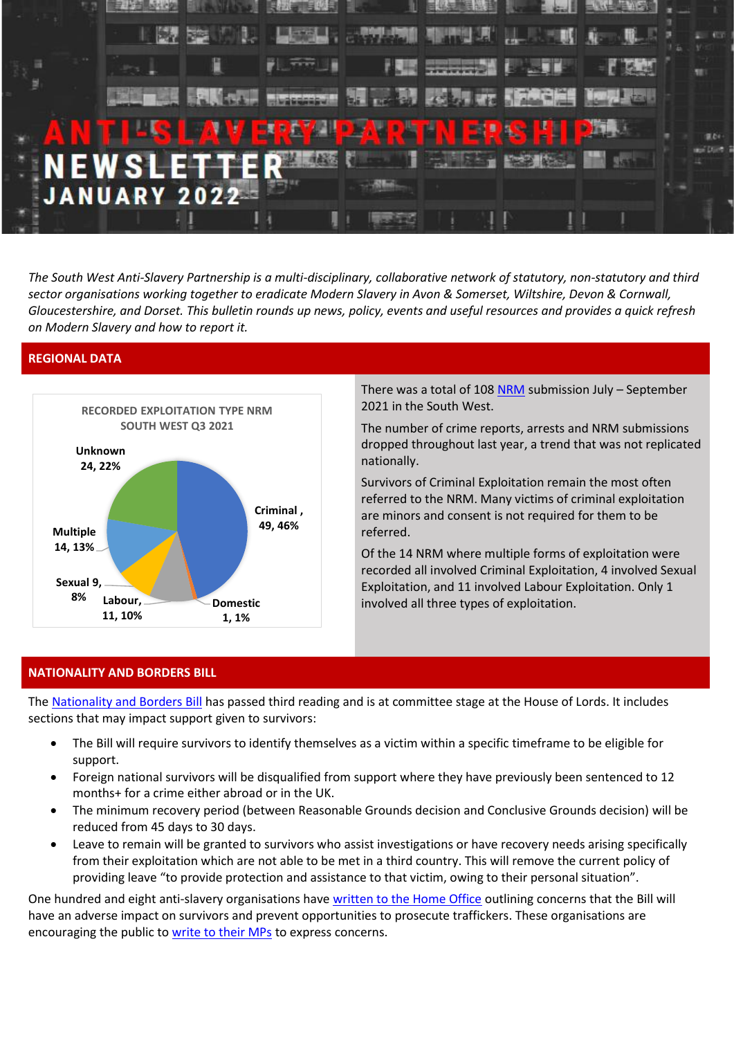

*The South West Anti-Slavery Partnership is a multi-disciplinary, collaborative network of statutory, non-statutory and third sector organisations working together to eradicate Modern Slavery in Avon & Somerset, Wiltshire, Devon & Cornwall, Gloucestershire, and Dorset. This bulletin rounds up news, policy, events and useful resources and provides a quick refresh on Modern Slavery and how to report it.*

## **REGIONAL DATA**



There was a total of 10[8 NRM](https://www.gov.uk/government/statistics/modern-slavery-national-referral-mechanism-and-duty-to-notify-statistics-uk-quarter-3-2021-july-to-september) submission July – September 2021 in the South West.

The number of crime reports, arrests and NRM submissions dropped throughout last year, a trend that was not replicated nationally.

Survivors of Criminal Exploitation remain the most often referred to the NRM. Many victims of criminal exploitation are minors and consent is not required for them to be referred.

Of the 14 NRM where multiple forms of exploitation were recorded all involved Criminal Exploitation, 4 involved Sexual Exploitation, and 11 involved Labour Exploitation. Only 1 involved all three types of exploitation.

## **NATIONALITY AND BORDERS BILL**

The [Nationality and Borders Bill](https://bills.parliament.uk/bills/3023) has passed third reading and is at committee stage at the House of Lords. It includes sections that may impact support given to survivors:

- The Bill will require survivors to identify themselves as a victim within a specific timeframe to be eligible for support.
- Foreign national survivors will be disqualified from support where they have previously been sentenced to 12 months+ for a crime either abroad or in the UK.
- The minimum recovery period (between Reasonable Grounds decision and Conclusive Grounds decision) will be reduced from 45 days to 30 days.
- Leave to remain will be granted to survivors who assist investigations or have recovery needs arising specifically from their exploitation which are not able to be met in a third country. This will remove the current policy of providing leave "to provide protection and assistance to that victim, owing to their personal situation".

One hundred and eight anti-slavery organisations have [written to the Home Office](https://www.unseenuk.org/wp-content/uploads/2021/11/Antislavery-Sector-Letter-to-MPs-on-the-Nationality-Borders-Bill-final.pdf) outlining concerns that the Bill will have an adverse impact on survivors and prevent opportunities to prosecute traffickers. These organisations are encouraging the public t[o write to their MPs](https://www.humantraffickingfoundation.org/s/template-letter-to-mps.docx) to express concerns.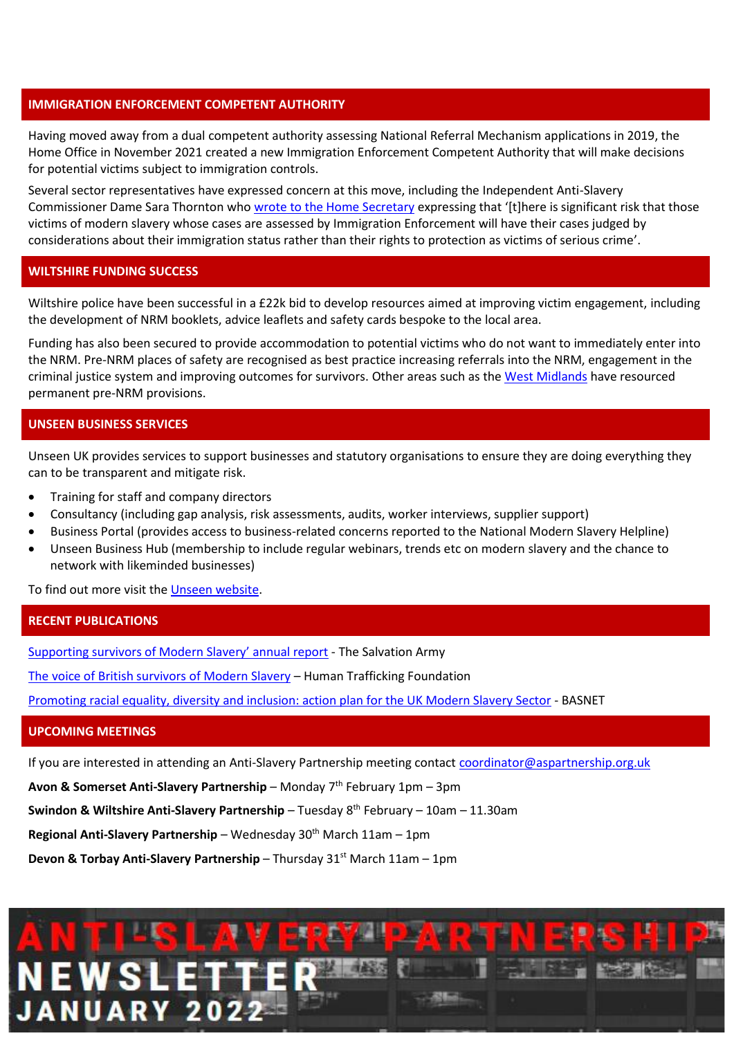#### **IMMIGRATION ENFORCEMENT COMPETENT AUTHORITY**

Having moved away from a dual competent authority assessing National Referral Mechanism applications in 2019, the Home Office in November 2021 created a new Immigration Enforcement Competent Authority that will make decisions for potential victims subject to immigration controls.

Several sector representatives have expressed concern at this move, including the Independent Anti-Slavery Commissioner Dame Sara Thornton who [wrote to the Home Secretary](http://www.antislaverycommissioner.co.uk/media/1695/letter_to_home_secretary_on_ieca_11_november_2021.pdf) expressing that '[t]here is significant risk that those victims of modern slavery whose cases are assessed by Immigration Enforcement will have their cases judged by considerations about their immigration status rather than their rights to protection as victims of serious crime'.

## **WILTSHIRE FUNDING SUCCESS**

Wiltshire police have been successful in a £22k bid to develop resources aimed at improving victim engagement, including the development of NRM booklets, advice leaflets and safety cards bespoke to the local area.

Funding has also been secured to provide accommodation to potential victims who do not want to immediately enter into the NRM. Pre-NRM places of safety are recognised as best practice increasing referrals into the NRM, engagement in the criminal justice system and improving outcomes for survivors. Other areas such as the [West Midlands](https://www.ipwm.org.uk/West-Midlands-AntiSlavery-Network/Pathway-Services/#:~:text=In%20Birmingham%2C%20The%20West%20Midlands%20Anti-Slavery%20Network%20can,the%20National%20Referral%20Mechanism%20or%20accessing%20other%20services.) have resourced permanent pre-NRM provisions.

## **UNSEEN BUSINESS SERVICES**

Unseen UK provides services to support businesses and statutory organisations to ensure they are doing everything they can to be transparent and mitigate risk.

- Training for staff and company directors
- Consultancy (including gap analysis, risk assessments, audits, worker interviews, supplier support)
- Business Portal (provides access to business-related concerns reported to the National Modern Slavery Helpline)
- Unseen Business Hub (membership to include regular webinars, trends etc on modern slavery and the chance to network with likeminded businesses)

To find out more visit th[e Unseen website.](https://www.unseenuk.org/working-with-businesses/)

## **RECENT PUBLICATIONS**

[Supporting survivors of Modern Slavery' annual report](https://www.salvationarmy.org.uk/sites/default/files/resources/2021-10/684%20SA%20Modern%20Slavery%20Report%202021%20FINAL%20NEW%20%281%29.pdf) - The Salvation Army

[The voice of British survivors of Modern Slavery](https://static1.squarespace.com/static/599abfb4e6f2e19ff048494f/t/617fb052b75f8164d23fb6f3/1635758164404/HTF+British+Survivors+of+Modern+Slavery+Report+Latest.pdf) – Human Trafficking Foundation

[Promoting racial equality, diversity and inclusion: action plan for the UK Modern Slavery Sector](https://bmeantislavery.org/wp-content/uploads/2021/07/BASNET-Race-EDI-Action-Plan.pdf) - BASNET

## **UPCOMING MEETINGS**

If you are interested in attending an Anti-Slavery Partnership meeting contact [coordinator@aspartnership.org.uk](mailto:coordinator@aspartnership.org.uk)

**Avon & Somerset Anti-Slavery Partnership** – Monday 7<sup>th</sup> February 1pm – 3pm

**Swindon & Wiltshire Anti-Slavery Partnership** – Tuesday 8<sup>th</sup> February – 10am – 11.30am

**Regional Anti-Slavery Partnership** – Wednesday 30<sup>th</sup> March 11am – 1pm

**Devon & Torbay Anti-Slavery Partnership** – Thursday 31<sup>st</sup> March 11am – 1pm